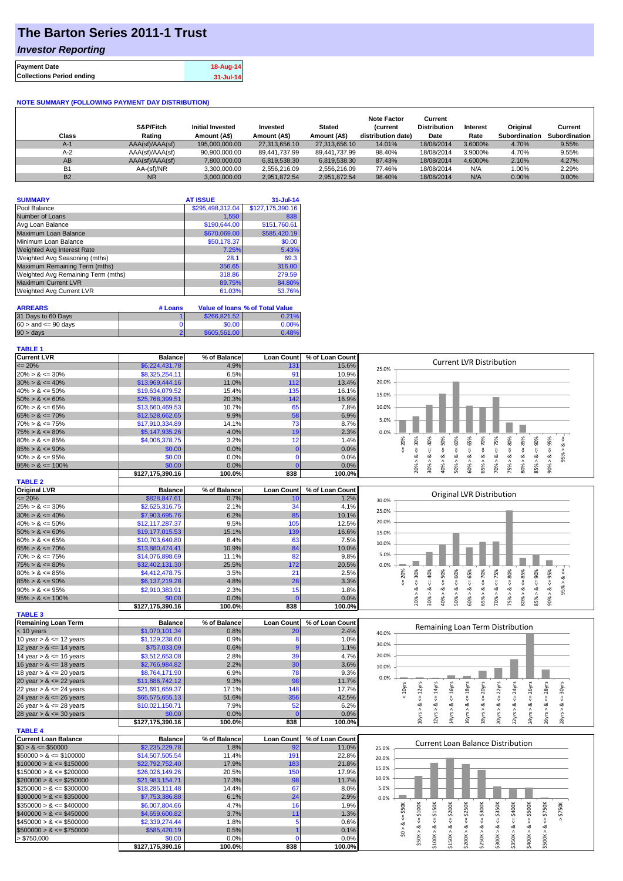## **The Barton Series 2011-1 Trust**

### *Investor Reporting*

| <b>Payment Date</b>              | 18-Aug-14 |
|----------------------------------|-----------|
| <b>Collections Period ending</b> | 31-Jul-14 |

#### **NOTE SUMMARY (FOLLOWING PAYMENT DAY DISTRIBUTION)**

| Class          | S&P/Fitch<br>Rating | <b>Initial Invested</b><br>Amount (A\$) | Invested<br>Amount (A\$) | <b>Stated</b><br>Amount (A\$) | <b>Note Factor</b><br><b>Current</b><br>distribution date) | Current<br><b>Distribution</b><br>Date | Interest<br>Rate | Original<br>Subordination | Current<br>Subordination |
|----------------|---------------------|-----------------------------------------|--------------------------|-------------------------------|------------------------------------------------------------|----------------------------------------|------------------|---------------------------|--------------------------|
| $A-1$          | AAA(sf)/AAA(sf)     | 195,000,000,00                          | 27.313.656.10            | 27,313,656.10                 | 14.01%                                                     | 18/08/2014                             | 3.6000%          | 4.70%                     | 9.55%                    |
| $A-2$          | AAA(sf)/AAA(sf)     | 90.900.000.00                           | 89.441.737.99            | 89.441.737.99                 | 98.40%                                                     | 18/08/2014                             | 3.9000%          | 4.70%                     | 9.55%                    |
| AB             | AAA(sf)/AAA(sf)     | 7.800.000.00                            | 6.819.538.30             | 6,819,538.30                  | 87.43%                                                     | 18/08/2014                             | 4.6000%          | 2.10%                     | 4.27%                    |
| B <sub>1</sub> | AA-(sf)/NR          | 3.300.000.00                            | 2.556.216.09             | 2,556,216.09                  | 77.46%                                                     | 18/08/2014                             | N/A              | 1.00%                     | 2.29%                    |
| <b>B2</b>      | <b>NR</b>           | 3.000.000.00                            | 2.951.872.54             | 2.951.872.54                  | 98.40%                                                     | 18/08/2014                             | N/A              | $0.00\%$                  | $0.00\%$                 |

| <b>SUMMARY</b>                     | <b>AT ISSUE</b>  | $31 -$ Jul-14    |
|------------------------------------|------------------|------------------|
| Pool Balance                       | \$295,498,312.04 | \$127,175,390.16 |
| Number of Loans                    | 1,550            | 838              |
| Avg Loan Balance                   | \$190,644.00     | \$151,760.61     |
| Maximum Loan Balance               | \$670,069.00     | \$585,420.19     |
| Minimum Loan Balance               | \$50,178.37      | \$0.00           |
| <b>Weighted Avg Interest Rate</b>  | 7.25%            | 5.43%            |
| Weighted Avg Seasoning (mths)      | 28.1             | 69.3             |
| Maximum Remaining Term (mths)      | 356.65           | 316.00           |
| Weighted Avg Remaining Term (mths) | 318.86           | 279.59           |
| <b>Maximum Current LVR</b>         | 89.75%           | 84.80%           |
| Weighted Avg Current LVR           | 61.03%           | 53.76%           |

| <b>ARREARS</b>            | # Loans |              | Value of Ioans % of Total Value |
|---------------------------|---------|--------------|---------------------------------|
| 31 Days to 60 Days        |         | \$266,821,52 | 0.21%                           |
| $60 >$ and $\leq 90$ days |         | \$0.00       | $0.00\%$                        |
| $90 > \text{days}$        |         | \$605,561,00 | 0.48%                           |

#### **TABLE 1**

| <b>Current LVR</b>          | <b>Balance</b>   | % of Balance         | <b>Loan Count</b> | % of Loan Count | <b>Current LVR Distribution</b>                                                                                                                                                                         |  |
|-----------------------------|------------------|----------------------|-------------------|-----------------|---------------------------------------------------------------------------------------------------------------------------------------------------------------------------------------------------------|--|
| $\epsilon = 20\%$           | \$6,224,431.78   | 4.9%                 | 131               | 15.6%           | 25.0%                                                                                                                                                                                                   |  |
| $20\% > 8 \le 30\%$         | \$8,325,254.11   | 6.5%                 | 91                | 10.9%           |                                                                                                                                                                                                         |  |
| $30\% > 8 \le 40\%$         | \$13,969,444.16  | 11.0%                | 112               | 13.4%           | 20.0%                                                                                                                                                                                                   |  |
| $40\% > 8 \le 50\%$         | \$19,634,079.52  | 15.4%                | 135               | 16.1%           | 15.0%                                                                                                                                                                                                   |  |
| $50\% > 8 \le 60\%$         | \$25,768,399.51  | 20.3%                | 142               | 16.9%           |                                                                                                                                                                                                         |  |
| $60\% > 8 \le 65\%$         | \$13,660,469.53  | 10.7%                | 65                | 7.8%            | 10.0%                                                                                                                                                                                                   |  |
| $65\% > 8 \le 70\%$         | \$12,528,662.65  | 9.9%                 | 58                | 6.9%            |                                                                                                                                                                                                         |  |
| $70\% > 8 \le 75\%$         | \$17,910,334.89  | 14.1%                | 73                | 8.7%            | 5.0%                                                                                                                                                                                                    |  |
| $75\% > 8 \le 80\%$         | \$5,147,935.26   | 4.0%                 | 19                | 2.3%            | 0.0%                                                                                                                                                                                                    |  |
| $80\% > 8 \le 85\%$         | \$4,006,378.75   | 3.2%                 | 12                | 1.4%            | 80%<br>70%<br>20%<br>V                                                                                                                                                                                  |  |
| $85\% > 8 \le 90\%$         | \$0.00           | 0.0%                 | $\Omega$          | 0.0%            | $<=50\%$<br>$<=65%$<br>$<=75%$<br>$<=85\%$<br>$<=$ 30%<br>$8 \le 40\%$<br>$<=60%$<br>8 < 90%<br>$<=95\%$<br>Įij,<br>₹                                                                                   |  |
| $90\% > 8 \le 95\%$         | \$0.00           | 0.0%                 | $\Omega$          | 0.0%            | 95% > 8<br>$\<=$<br>ಹ<br>ø                                                                                                                                                                              |  |
| $95\% > 8 \le 100\%$        | \$0.00           | 0.0%                 | $\mathbf 0$       | 0.0%            |                                                                                                                                                                                                         |  |
|                             | \$127,175,390.16 | 100.0%               | 838               | 100.0%          | 80%<br>$-800%$<br>20%<br>$30\%$ ><br>40% ><br>50% ><br>60% ><br>65% ><br>70%<br>75% ><br>85% >                                                                                                          |  |
|                             |                  |                      |                   |                 |                                                                                                                                                                                                         |  |
| <b>TABLE 2</b>              |                  |                      |                   | % of Loan Count |                                                                                                                                                                                                         |  |
| <b>Original LVR</b>         | <b>Balance</b>   | % of Balance<br>0.7% | <b>Loan Count</b> |                 | <b>Original LVR Distribution</b>                                                                                                                                                                        |  |
| $\epsilon = 20\%$           | \$828,847.61     |                      | 10                | 1.2%            | 30.0%                                                                                                                                                                                                   |  |
| $25\% > 8 \le 30\%$         | \$2,625,316.75   | 2.1%                 | 34                | 4.1%            | 25.0%                                                                                                                                                                                                   |  |
| $30\% > 8 \le 40\%$         | \$7,903,695.76   | 6.2%                 | 85                | 10.1%           | 20.0%                                                                                                                                                                                                   |  |
| $40\% > 8 \le 50\%$         | \$12,117,287.37  | 9.5%                 | 105               | 12.5%           |                                                                                                                                                                                                         |  |
| $50\% > 8 \le 60\%$         | \$19,177,015.53  | 15.1%                | 139               | 16.6%           | 15.0%                                                                                                                                                                                                   |  |
| $60\% > 8 \le 65\%$         | \$10,703,640.80  | 8.4%                 | 63                | 7.5%            | 10.0%                                                                                                                                                                                                   |  |
| $65\% > 8 \le 70\%$         | \$13,880,474.41  | 10.9%                | 84                | 10.0%           |                                                                                                                                                                                                         |  |
| $70\% > 8 \le 75\%$         | \$14,076,898.69  | 11.1%                | 82                | 9.8%            | 5.0%                                                                                                                                                                                                    |  |
| $75\% > 8 \le 80\%$         | \$32,402,131.30  | 25.5%                | 172               | 20.5%           | 0.0%                                                                                                                                                                                                    |  |
| $80\% > 8 \le 85\%$         | \$4,412,478.75   | 3.5%                 | 21                | 2.5%            | $<=85%$<br>$<=65%$<br>$<=75%$<br>80%<br>$8 \le 90\%$<br>$<=$ 30%<br>$<=50\%$<br>$<= 60%$<br>$4 = 70\%$<br>95% > 8 <<br>20%<br>40%                                                                       |  |
| $85\% > 8 \le 90\%$         | \$6,137,219.28   | 4.8%                 | 28                | 3.3%            | V                                                                                                                                                                                                       |  |
| $90\% > 8 \le 95\%$         | \$2,910,383.91   | 2.3%                 | 15                | 1.8%            | ಷ<br>ವ<br>ಷ<br>∞<br>ø                                                                                                                                                                                   |  |
| $95\% > 8 \le 100\%$        | \$0.00           | 0.0%                 | $\Omega$          | 0.0%            | $90\% > 8 \le 95\%$<br>20%<br>40% ><br>60%<br>80%<br>85% ><br>30%<br>50% ><br>65% ><br>70% ><br>75% >                                                                                                   |  |
|                             |                  |                      |                   |                 |                                                                                                                                                                                                         |  |
|                             | \$127,175,390.16 | 100.0%               | 838               | 100.0%          |                                                                                                                                                                                                         |  |
| <b>TABLE 3</b>              |                  |                      |                   |                 |                                                                                                                                                                                                         |  |
|                             | <b>Balance</b>   | % of Balance         | <b>Loan Count</b> | % of Loan Count |                                                                                                                                                                                                         |  |
| <b>Remaining Loan Term</b>  |                  | 0.8%                 |                   | 2.4%            | Remaining Loan Term Distribution                                                                                                                                                                        |  |
| $<$ 10 years                | \$1,070,101.34   |                      | 20                |                 | 40.0%                                                                                                                                                                                                   |  |
| 10 year $> 8 \le 12$ years  | \$1,129,238.60   | 0.9%                 | 8                 | 1.0%            | 30.0%                                                                                                                                                                                                   |  |
| 12 year $> 8 \le 14$ years  | \$757,033.09     | 0.6%                 |                   | 1.1%            | 20.0%                                                                                                                                                                                                   |  |
| 14 year $> 8 \le 16$ years  | \$3,512,653.08   | 2.8%                 | 39                | 4.7%            |                                                                                                                                                                                                         |  |
| 16 year $> 8 \le 18$ years  | \$2,766,984.82   | 2.2%                 | 30                | 3.6%            | 10.0%                                                                                                                                                                                                   |  |
| 18 year $> 8 \le 20$ years  | \$8,764,171.90   | 6.9%                 | 78                | 9.3%            | 0.0%                                                                                                                                                                                                    |  |
| 20 year $> 8 \le 22$ years  | \$11,886,742.12  | 9.3%                 | 98                | 11.7%           |                                                                                                                                                                                                         |  |
| 22 year $> 8 \le 24$ years  | \$21,691,659.37  | 17.1%                | 148               | 17.7%           |                                                                                                                                                                                                         |  |
| 24 year $> 8 \le 26$ years  | \$65,575,655.13  | 51.6%                | 356               | 42.5%           | $\leq 16$ yrs<br>$<10\,\mathrm{yrs}$                                                                                                                                                                    |  |
| 26 year $> 8 \le 28$ years  | \$10,021,150.71  | 7.9%                 | 52                | 6.2%            |                                                                                                                                                                                                         |  |
| 28 year $> 8 \le 30$ years  | \$0.00           | 0.0%                 | $\sqrt{ }$        | 0.0%            | $6yrs > 8c = 18yrs$                                                                                                                                                                                     |  |
|                             | \$127,175,390.16 | 100.0%               | 838               | 100.0%          | $26yrs > 8 <= 28yrs$<br>$8yrs > 8 <= 20yrs$<br>20yrs > 8c < 22yrs<br>$22yrs > 8 <= 24yrs$<br>$24yrs > 8 <= 26yrs$<br>$10yrs > 8c = 12yrs$<br>$2yrs > 8c = 14yrs$<br>$28yrs > 8 <= 30yrs$<br>4yrs > 8    |  |
| <b>TABLE 4</b>              |                  |                      |                   |                 |                                                                                                                                                                                                         |  |
| <b>Current Loan Balance</b> | <b>Balance</b>   | % of Balance         | Loan Count        | % of Loan Count |                                                                                                                                                                                                         |  |
| $$0 > 8 \leq $50000$        | \$2,235,229.78   | 1.8%                 | 92                | 11.0%           | <b>Current Loan Balance Distribution</b><br>25.0%                                                                                                                                                       |  |
| $$50000 > 8 \le $100000$    | \$14,507,505.54  | 11.4%                | 191               | 22.8%           | 20.0%                                                                                                                                                                                                   |  |
| $$100000 > 8 \leq $150000$  | \$22,792,752.40  | 17.9%                | 183               | 21.8%           |                                                                                                                                                                                                         |  |
| $$150000 > 8 \leq $200000$  | \$26,026,149.26  | 20.5%                | 150               | 17.9%           | 15.0%                                                                                                                                                                                                   |  |
| $$200000 > 8 \leq $250000$  | \$21,983,154.71  | 17.3%                | 98                | 11.7%           | 10.0%                                                                                                                                                                                                   |  |
| $$250000 > 8 \leq $300000$  | \$18,285,111.48  | 14.4%                | 67                | 8.0%            | 5.0%                                                                                                                                                                                                    |  |
| $$300000 > 8 \leq $350000$  | \$7,753,386.88   | 6.1%                 | 24                | 2.9%            | 0.0%                                                                                                                                                                                                    |  |
| $$350000 > 8 \leq $400000$  | \$6,007,804.66   | 4.7%                 | 16                | 1.9%            |                                                                                                                                                                                                         |  |
| $$400000 > 8 \leq $450000$  | \$4,659,600.82   | 3.7%                 | 11                | 1.3%            | \$200K<br>\$150K<br>\$350K<br>\$400K<br>\$750K                                                                                                                                                          |  |
| $$450000 > 8 \le $500000$   | \$2,339,274.44   | 1.8%                 | 5                 | 0.6%            | \$250K<br>₹                                                                                                                                                                                             |  |
| $$500000 > 8 \leq $750000$  | \$585,420.19     | 0.5%                 |                   | 0.1%            |                                                                                                                                                                                                         |  |
| > \$750,000                 | \$0.00           | 0.0%                 | $\Omega$          | 0.0%            | $$250K > 8 \leq $300K$<br>$$50K > 8 <= $100K$<br>$$0 > 8 <= $50$ K<br>$$400K > 8 \leq 5500K$<br>$$500K > 8 <= $750K$<br>$$100K > 8 <=$<br>\$150K > 8 <<br>\$200K > 8 <<br>$$350K > 8 \le$<br>\$300K > 8 |  |